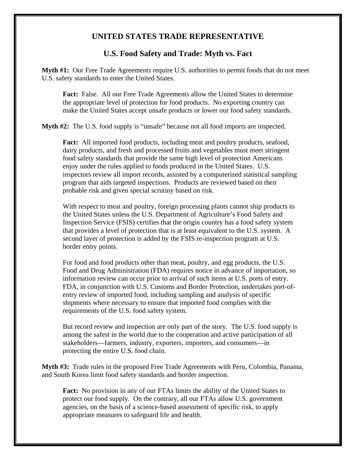## **UNITED STATES TRADE REPRESENTATIVE**

## **U.S. Food Safety and Trade: Myth vs. Fact**

**Myth #1:** Our Free Trade Agreements require U.S. authorities to permit foods that do not meet U.S. safety standards to enter the United States.

**Fact:** False. All our Free Trade Agreements allow the United States to determine the appropriate level of protection for food products. No exporting country can make the United States accept unsafe products or lower our food safety standards.

**Myth #2:** The U.S. food supply is "unsafe" because not all food imports are inspected.

**Fact:** All imported food products, including meat and poultry products, seafood, dairy products, and fresh and processed fruits and vegetables must meet stringent food safety standards that provide the same high level of protection Americans enjoy under the rules applied to foods produced in the United States. U.S. inspectors review all import records, assisted by a computerized statistical sampling program that aids targeted inspections. Products are reviewed based on their probable risk and given special scrutiny based on risk.

With respect to meat and poultry, foreign processing plants cannot ship products to the United States unless the U.S. Department of Agriculture's Food Safety and Inspection Service (FSIS) certifies that the origin country has a food safety system that provides a level of protection that is at least equivalent to the U.S. system. A second layer of protection is added by the FSIS re-inspection program at U.S. border entry points.

For food and food products other than meat, poultry, and egg products, the U.S. Food and Drug Administration (FDA) requires notice in advance of importation, so information review can occur prior to arrival of such items at U.S. ports of entry. FDA, in conjunction with U.S. Customs and Border Protection, undertakes port-ofentry review of imported food, including sampling and analysis of specific shipments where necessary to ensure that imported food complies with the requirements of the U.S. food safety system.

But record review and inspection are only part of the story. The U.S. food supply is among the safest in the world due to the cooperation and active participation of all stakeholders—farmers, industry, exporters, importers, and consumers—in protecting the entire U.S. food chain.

**Myth #3:** Trade rules in the proposed Free Trade Agreements with Peru, Colombia, Panama, and South Korea limit food safety standards and border inspection.

**Fact:** No provision in any of our FTAs limits the ability of the United States to protect our food supply. On the contrary, all our FTAs allow U.S. government agencies, on the basis of a science-based assessment of specific risk, to apply appropriate measures to safeguard life and health.